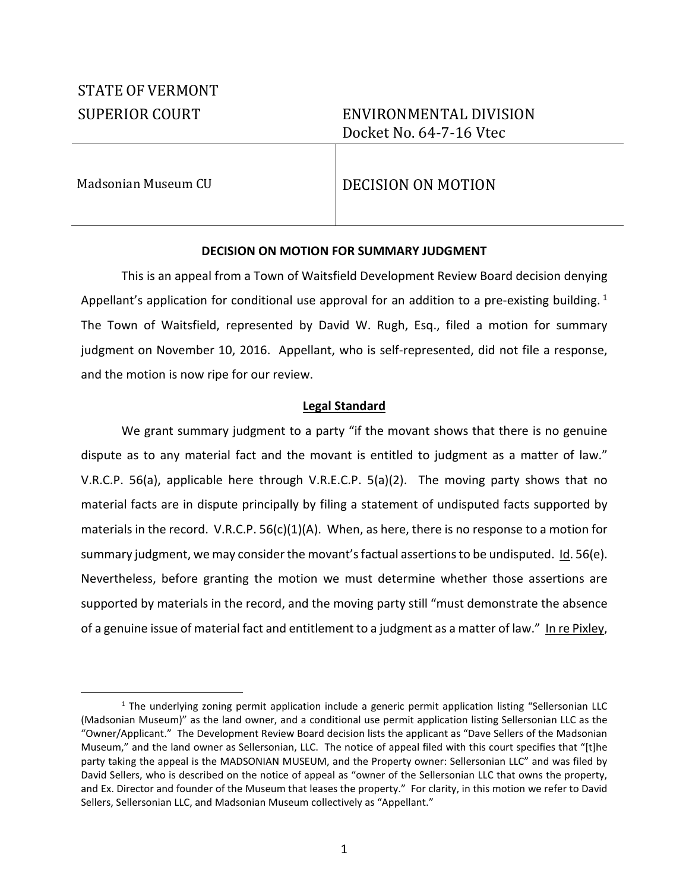# STATE OF VERMONT

# SUPERIOR COURT ENVIRONMENTAL DIVISION Docket No. 64-7-16 Vtec

1

# Madsonian Museum CU DECISION ON MOTION

# **DECISION ON MOTION FOR SUMMARY JUDGMENT**

This is an appeal from a Town of Waitsfield Development Review Board decision denying Appellant's application for conditional use approval for an addition to a pre-existing building.  $1$ The Town of Waitsfield, represented by David W. Rugh, Esq., filed a motion for summary judgment on November 10, 2016. Appellant, who is self-represented, did not file a response, and the motion is now ripe for our review.

## **Legal Standard**

We grant summary judgment to a party "if the movant shows that there is no genuine dispute as to any material fact and the movant is entitled to judgment as a matter of law." V.R.C.P. 56(a), applicable here through V.R.E.C.P. 5(a)(2). The moving party shows that no material facts are in dispute principally by filing a statement of undisputed facts supported by materials in the record. V.R.C.P.  $56(c)(1)(A)$ . When, as here, there is no response to a motion for summary judgment, we may consider the movant's factual assertions to be undisputed.  $\underline{\mathsf{Id}}$ . 56(e). Nevertheless, before granting the motion we must determine whether those assertions are supported by materials in the record, and the moving party still "must demonstrate the absence of a genuine issue of material fact and entitlement to a judgment as a matter of law." In re Pixley,

<sup>&</sup>lt;sup>1</sup> The underlying zoning permit application include a generic permit application listing "Sellersonian LLC (Madsonian Museum)" as the land owner, and a conditional use permit application listing Sellersonian LLC as the "Owner/Applicant." The Development Review Board decision lists the applicant as "Dave Sellers of the Madsonian Museum," and the land owner as Sellersonian, LLC. The notice of appeal filed with this court specifies that "[t]he party taking the appeal is the MADSONIAN MUSEUM, and the Property owner: Sellersonian LLC" and was filed by David Sellers, who is described on the notice of appeal as "owner of the Sellersonian LLC that owns the property, and Ex. Director and founder of the Museum that leases the property." For clarity, in this motion we refer to David Sellers, Sellersonian LLC, and Madsonian Museum collectively as "Appellant."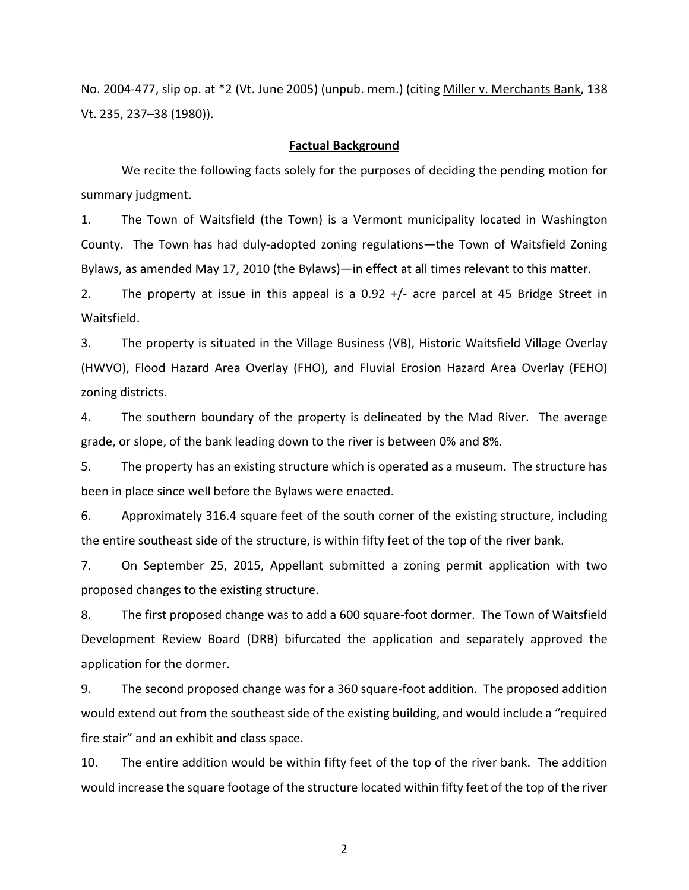No. 2004-477, slip op. at \*2 (Vt. June 2005) (unpub. mem.) (citing Miller v. Merchants Bank, 138 Vt. 235, 237–38 (1980)).

#### **Factual Background**

We recite the following facts solely for the purposes of deciding the pending motion for summary judgment.

1. The Town of Waitsfield (the Town) is a Vermont municipality located in Washington County. The Town has had duly-adopted zoning regulations—the Town of Waitsfield Zoning Bylaws, as amended May 17, 2010 (the Bylaws)—in effect at all times relevant to this matter.

2. The property at issue in this appeal is a 0.92 +/- acre parcel at 45 Bridge Street in Waitsfield.

3. The property is situated in the Village Business (VB), Historic Waitsfield Village Overlay (HWVO), Flood Hazard Area Overlay (FHO), and Fluvial Erosion Hazard Area Overlay (FEHO) zoning districts.

4. The southern boundary of the property is delineated by the Mad River. The average grade, or slope, of the bank leading down to the river is between 0% and 8%.

5. The property has an existing structure which is operated as a museum. The structure has been in place since well before the Bylaws were enacted.

6. Approximately 316.4 square feet of the south corner of the existing structure, including the entire southeast side of the structure, is within fifty feet of the top of the river bank.

7. On September 25, 2015, Appellant submitted a zoning permit application with two proposed changes to the existing structure.

8. The first proposed change was to add a 600 square-foot dormer. The Town of Waitsfield Development Review Board (DRB) bifurcated the application and separately approved the application for the dormer.

9. The second proposed change was for a 360 square-foot addition. The proposed addition would extend out from the southeast side of the existing building, and would include a "required fire stair" and an exhibit and class space.

10. The entire addition would be within fifty feet of the top of the river bank. The addition would increase the square footage of the structure located within fifty feet of the top of the river

2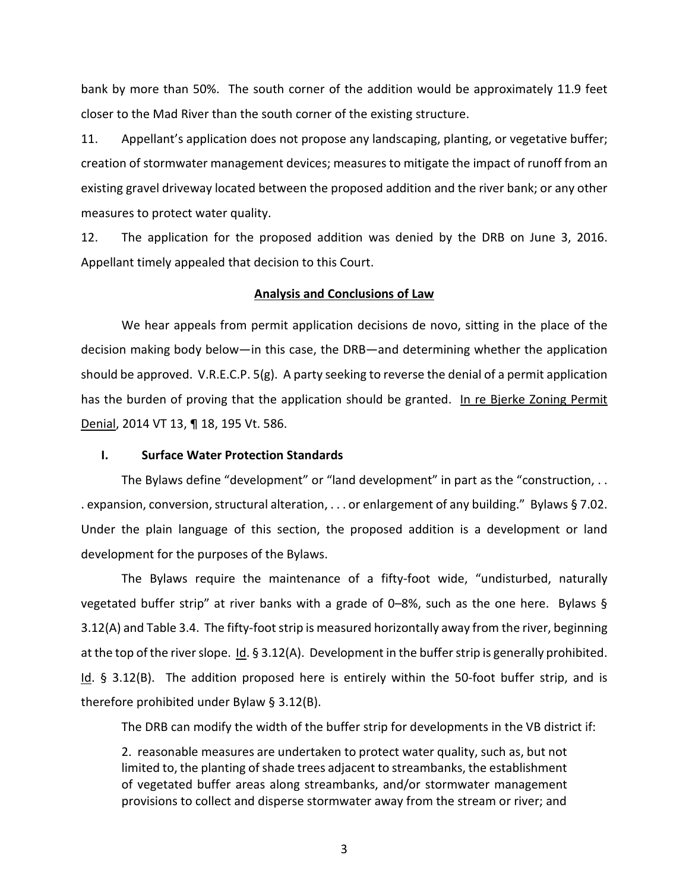bank by more than 50%. The south corner of the addition would be approximately 11.9 feet closer to the Mad River than the south corner of the existing structure.

11. Appellant's application does not propose any landscaping, planting, or vegetative buffer; creation of stormwater management devices; measures to mitigate the impact of runoff from an existing gravel driveway located between the proposed addition and the river bank; or any other measures to protect water quality.

12. The application for the proposed addition was denied by the DRB on June 3, 2016. Appellant timely appealed that decision to this Court.

#### **Analysis and Conclusions of Law**

We hear appeals from permit application decisions de novo, sitting in the place of the decision making body below—in this case, the DRB—and determining whether the application should be approved. V.R.E.C.P. 5(g). A party seeking to reverse the denial of a permit application has the burden of proving that the application should be granted. In re Bjerke Zoning Permit Denial, 2014 VT 13, ¶ 18, 195 Vt. 586.

#### **I. Surface Water Protection Standards**

The Bylaws define "development" or "land development" in part as the "construction, . . . expansion, conversion, structural alteration, . . . or enlargement of any building." Bylaws § 7.02. Under the plain language of this section, the proposed addition is a development or land development for the purposes of the Bylaws.

The Bylaws require the maintenance of a fifty-foot wide, "undisturbed, naturally vegetated buffer strip" at river banks with a grade of 0–8%, such as the one here. Bylaws § 3.12(A) and Table 3.4. The fifty-foot strip is measured horizontally away from the river, beginning at the top of the river slope.  $Id.$  § 3.12(A). Development in the buffer strip is generally prohibited. <u>Id</u>. § 3.12(B). The addition proposed here is entirely within the 50-foot buffer strip, and is therefore prohibited under Bylaw § 3.12(B).

The DRB can modify the width of the buffer strip for developments in the VB district if:

2. reasonable measures are undertaken to protect water quality, such as, but not limited to, the planting of shade trees adjacent to streambanks, the establishment of vegetated buffer areas along streambanks, and/or stormwater management provisions to collect and disperse stormwater away from the stream or river; and

3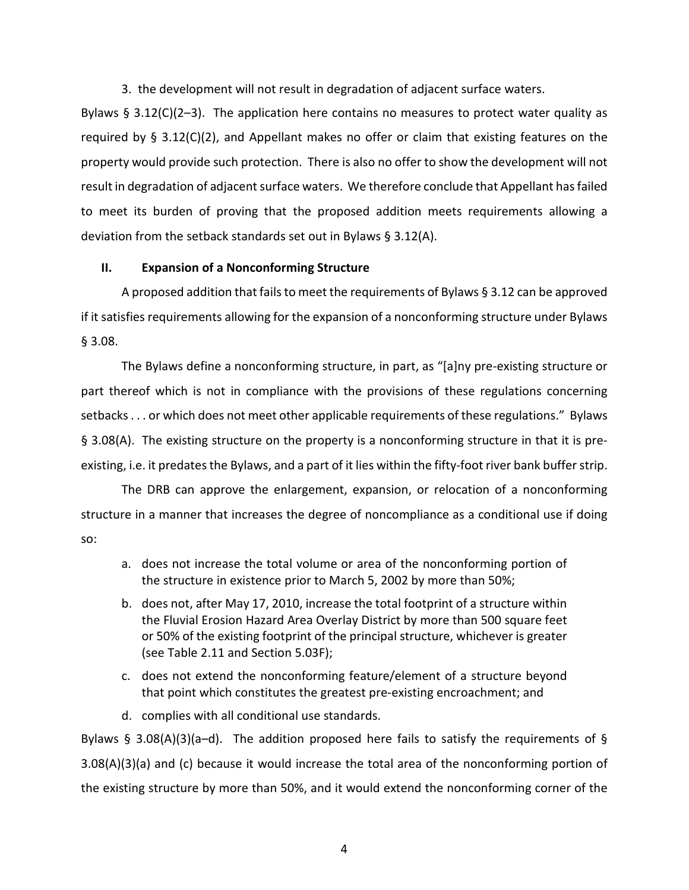3. the development will not result in degradation of adjacent surface waters.

Bylaws  $\S$  3.12(C)(2-3). The application here contains no measures to protect water quality as required by § 3.12(C)(2), and Appellant makes no offer or claim that existing features on the property would provide such protection. There is also no offer to show the development will not result in degradation of adjacent surface waters. We therefore conclude that Appellant has failed to meet its burden of proving that the proposed addition meets requirements allowing a deviation from the setback standards set out in Bylaws § 3.12(A).

### **II. Expansion of a Nonconforming Structure**

A proposed addition that fails to meet the requirements of Bylaws § 3.12 can be approved if it satisfies requirements allowing for the expansion of a nonconforming structure under Bylaws § 3.08.

The Bylaws define a nonconforming structure, in part, as "[a]ny pre-existing structure or part thereof which is not in compliance with the provisions of these regulations concerning setbacks . . . or which does not meet other applicable requirements of these regulations." Bylaws § 3.08(A). The existing structure on the property is a nonconforming structure in that it is preexisting, i.e. it predates the Bylaws, and a part of it lies within the fifty-foot river bank buffer strip.

The DRB can approve the enlargement, expansion, or relocation of a nonconforming structure in a manner that increases the degree of noncompliance as a conditional use if doing so:

- a. does not increase the total volume or area of the nonconforming portion of the structure in existence prior to March 5, 2002 by more than 50%;
- b. does not, after May 17, 2010, increase the total footprint of a structure within the Fluvial Erosion Hazard Area Overlay District by more than 500 square feet or 50% of the existing footprint of the principal structure, whichever is greater (see Table 2.11 and Section 5.03F);
- c. does not extend the nonconforming feature/element of a structure beyond that point which constitutes the greatest pre-existing encroachment; and
- d. complies with all conditional use standards.

Bylaws § 3.08(A)(3)(a–d). The addition proposed here fails to satisfy the requirements of § 3.08(A)(3)(a) and (c) because it would increase the total area of the nonconforming portion of the existing structure by more than 50%, and it would extend the nonconforming corner of the